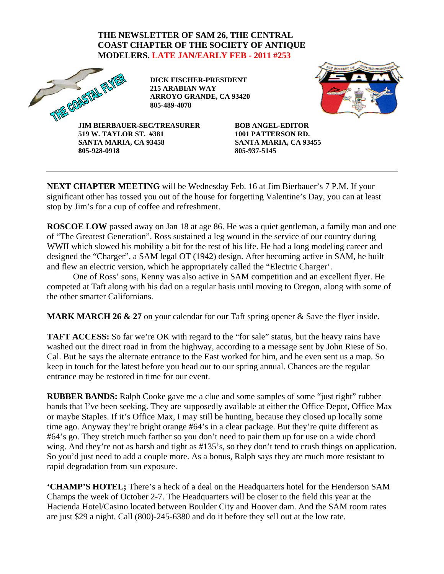## **THE NEWSLETTER OF SAM 26, THE CENTRAL COAST CHAPTER OF THE SOCIETY OF ANTIQUE MODELERS. LATE JAN/EARLY FEB - 2011 #253**



**DICK FISCHER-PRESIDENT 215 ARABIAN WAY ARROYO GRANDE, CA 93420 805-489-4078** 



**JIM BIERBAUER-SEC/TREASURER 519 W. TAYLOR ST. #381 SANTA MARIA, CA 93458 805-928-0918** 

**BOB ANGEL-EDITOR 1001 PATTERSON RD. SANTA MARIA, CA 93455 805-937-5145** 

**NEXT CHAPTER MEETING** will be Wednesday Feb. 16 at Jim Bierbauer's 7 P.M. If your significant other has tossed you out of the house for forgetting Valentine's Day, you can at least stop by Jim's for a cup of coffee and refreshment.

**ROSCOE LOW** passed away on Jan 18 at age 86. He was a quiet gentleman, a family man and one of "The Greatest Generation". Ross sustained a leg wound in the service of our country during WWII which slowed his mobility a bit for the rest of his life. He had a long modeling career and designed the "Charger", a SAM legal OT (1942) design. After becoming active in SAM, he built and flew an electric version, which he appropriately called the "Electric Charger'.

 One of Ross' sons, Kenny was also active in SAM competition and an excellent flyer. He competed at Taft along with his dad on a regular basis until moving to Oregon, along with some of the other smarter Californians.

**MARK MARCH 26 & 27** on your calendar for our Taft spring opener & Save the flyer inside.

**TAFT ACCESS:** So far we're OK with regard to the "for sale" status, but the heavy rains have washed out the direct road in from the highway, according to a message sent by John Riese of So. Cal. But he says the alternate entrance to the East worked for him, and he even sent us a map. So keep in touch for the latest before you head out to our spring annual. Chances are the regular entrance may be restored in time for our event.

**RUBBER BANDS:** Ralph Cooke gave me a clue and some samples of some "just right" rubber bands that I've been seeking. They are supposedly available at either the Office Depot, Office Max or maybe Staples. If it's Office Max, I may still be hunting, because they closed up locally some time ago. Anyway they're bright orange #64's in a clear package. But they're quite different as #64's go. They stretch much farther so you don't need to pair them up for use on a wide chord wing. And they're not as harsh and tight as #135's, so they don't tend to crush things on application. So you'd just need to add a couple more. As a bonus, Ralph says they are much more resistant to rapid degradation from sun exposure.

**'CHAMP'S HOTEL;** There's a heck of a deal on the Headquarters hotel for the Henderson SAM Champs the week of October 2-7. The Headquarters will be closer to the field this year at the Hacienda Hotel/Casino located between Boulder City and Hoover dam. And the SAM room rates are just \$29 a night. Call (800)-245-6380 and do it before they sell out at the low rate.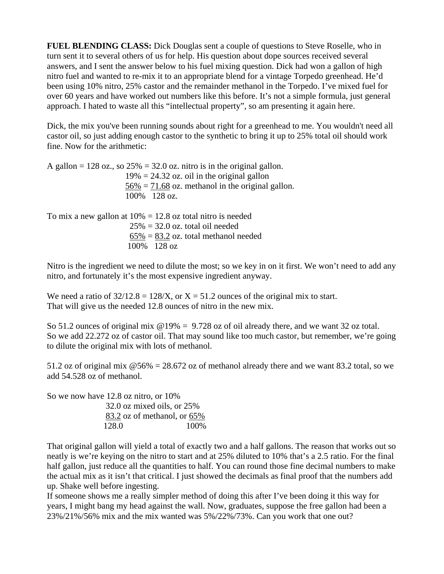**FUEL BLENDING CLASS:** Dick Douglas sent a couple of questions to Steve Roselle, who in turn sent it to several others of us for help. His question about dope sources received several answers, and I sent the answer below to his fuel mixing question. Dick had won a gallon of high nitro fuel and wanted to re-mix it to an appropriate blend for a vintage Torpedo greenhead. He'd been using 10% nitro, 25% castor and the remainder methanol in the Torpedo. I've mixed fuel for over 60 years and have worked out numbers like this before. It's not a simple formula, just general approach. I hated to waste all this "intellectual property", so am presenting it again here.

Dick, the mix you've been running sounds about right for a greenhead to me. You wouldn't need all castor oil, so just adding enough castor to the synthetic to bring it up to 25% total oil should work fine. Now for the arithmetic:

A gallon  $= 128$  oz., so  $25\% = 32.0$  oz. nitro is in the original gallon.  $19\% = 24.32$  oz. oil in the original gallon  $56\% = 71.68$  oz. methanol in the original gallon. 100% 128 oz.

To mix a new gallon at  $10\% = 12.8$  oz total nitro is needed  $25\% = 32.0$  oz. total oil needed  $\underline{65\%} = \underline{83.2}$  oz. total methanol needed 100% 128 oz

Nitro is the ingredient we need to dilute the most; so we key in on it first. We won't need to add any nitro, and fortunately it's the most expensive ingredient anyway.

We need a ratio of  $32/12.8 = 128/X$ , or  $X = 51.2$  ounces of the original mix to start. That will give us the needed 12.8 ounces of nitro in the new mix.

So 51.2 ounces of original mix  $@19\% = 9.728$  oz of oil already there, and we want 32 oz total. So we add 22.272 oz of castor oil. That may sound like too much castor, but remember, we're going to dilute the original mix with lots of methanol.

51.2 oz of original mix  $\omega$  56% = 28.672 oz of methanol already there and we want 83.2 total, so we add 54.528 oz of methanol.

So we now have 12.8 oz nitro, or 10% 32.0 oz mixed oils, or 25% 83.2 oz of methanol, or 65% 128.0 100%

That original gallon will yield a total of exactly two and a half gallons. The reason that works out so neatly is we're keying on the nitro to start and at 25% diluted to 10% that's a 2.5 ratio. For the final half gallon, just reduce all the quantities to half. You can round those fine decimal numbers to make the actual mix as it isn't that critical. I just showed the decimals as final proof that the numbers add up. Shake well before ingesting.

If someone shows me a really simpler method of doing this after I've been doing it this way for years, I might bang my head against the wall. Now, graduates, suppose the free gallon had been a 23%/21%/56% mix and the mix wanted was 5%/22%/73%. Can you work that one out?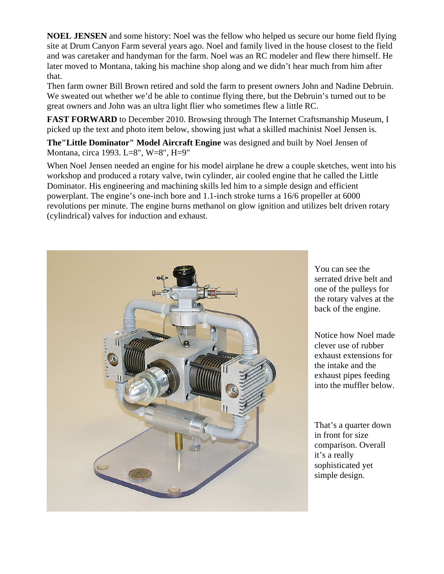**NOEL JENSEN** and some history: Noel was the fellow who helped us secure our home field flying site at Drum Canyon Farm several years ago. Noel and family lived in the house closest to the field and was caretaker and handyman for the farm. Noel was an RC modeler and flew there himself. He later moved to Montana, taking his machine shop along and we didn't hear much from him after that.

Then farm owner Bill Brown retired and sold the farm to present owners John and Nadine Debruin. We sweated out whether we'd be able to continue flying there, but the Debruin's turned out to be great owners and John was an ultra light flier who sometimes flew a little RC.

**FAST FORWARD** to December 2010. Browsing through The Internet Craftsmanship Museum, I picked up the text and photo item below, showing just what a skilled machinist Noel Jensen is.

**The"Little Dominator" Model Aircraft Engine** was designed and built by Noel Jensen of Montana, circa 1993. L=8", W=8", H=9"

When Noel Jensen needed an engine for his model airplane he drew a couple sketches, went into his workshop and produced a rotary valve, twin cylinder, air cooled engine that he called the Little Dominator. His engineering and machining skills led him to a simple design and efficient powerplant. The engine's one-inch bore and 1.1-inch stroke turns a 16/6 propeller at 6000 revolutions per minute. The engine burns methanol on glow ignition and utilizes belt driven rotary (cylindrical) valves for induction and exhaust.



You can see the serrated drive belt and one of the pulleys for the rotary valves at the back of the engine.

Notice how Noel made clever use of rubber exhaust extensions for the intake and the exhaust pipes feeding into the muffler below.

That's a quarter down in front for size comparison. Overall it's a really sophisticated yet simple design.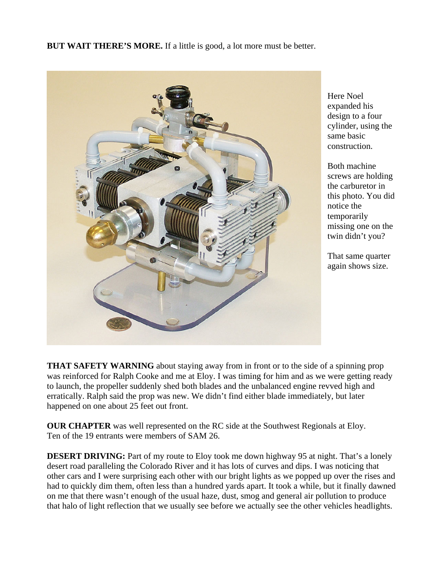**BUT WAIT THERE'S MORE.** If a little is good, a lot more must be better.



Here Noel expanded his design to a four cylinder, using the same basic construction.

Both machine screws are holding the carburetor in this photo. You did notice the temporarily missing one on the twin didn't you?

That same quarter again shows size.

**THAT SAFETY WARNING** about staying away from in front or to the side of a spinning prop was reinforced for Ralph Cooke and me at Eloy. I was timing for him and as we were getting ready to launch, the propeller suddenly shed both blades and the unbalanced engine revved high and erratically. Ralph said the prop was new. We didn't find either blade immediately, but later happened on one about 25 feet out front.

**OUR CHAPTER** was well represented on the RC side at the Southwest Regionals at Eloy. Ten of the 19 entrants were members of SAM 26.

**DESERT DRIVING:** Part of my route to Eloy took me down highway 95 at night. That's a lonely desert road paralleling the Colorado River and it has lots of curves and dips. I was noticing that other cars and I were surprising each other with our bright lights as we popped up over the rises and had to quickly dim them, often less than a hundred yards apart. It took a while, but it finally dawned on me that there wasn't enough of the usual haze, dust, smog and general air pollution to produce that halo of light reflection that we usually see before we actually see the other vehicles headlights.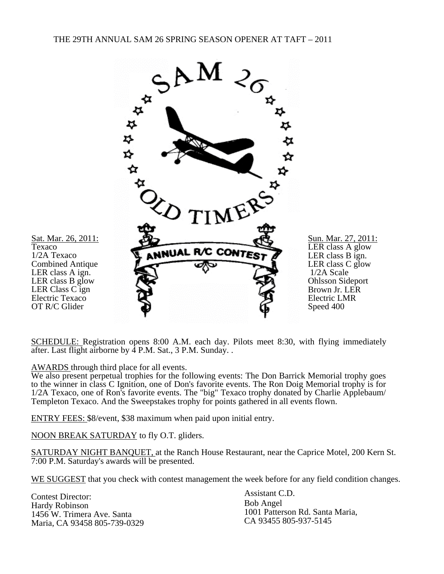

SCHEDULE: Registration opens 8:00 A.M. each day. Pilots meet 8:30, with flying immediately after. Last flight airborne by  $\overline{4}$  P.M. Sat., 3 P.M. Sunday...

AWARDS through third place for all events.

We also present perpetual trophies for the following events: The Don Barrick Memorial trophy goes to the winner in class C Ignition, one of Don's favorite events. The Ron Doig Memorial trophy is for 1/2A Texaco, one of Ron's favorite events. The "big" Texaco trophy donated by Charlie Applebaum/ Templeton Texaco. And the Sweepstakes trophy for points gathered in all events flown.

ENTRY FEES: \$8/event, \$38 maximum when paid upon initial entry.

NOON BREAK SATURDAY to fly O.T. gliders.

SATURDAY NIGHT BANQUET, at the Ranch House Restaurant, near the Caprice Motel, 200 Kern St. 7:00 P.M. Saturday's awards will be presented.

WE SUGGEST that you check with contest management the week before for any field condition changes.

Contest Director: Hardy Robinson 1456 W. Trimera Ave. Santa Maria, CA 93458 805-739-0329 Assistant C.D. Bob Angel 1001 Patterson Rd. Santa Maria, CA 93455 805-937-5145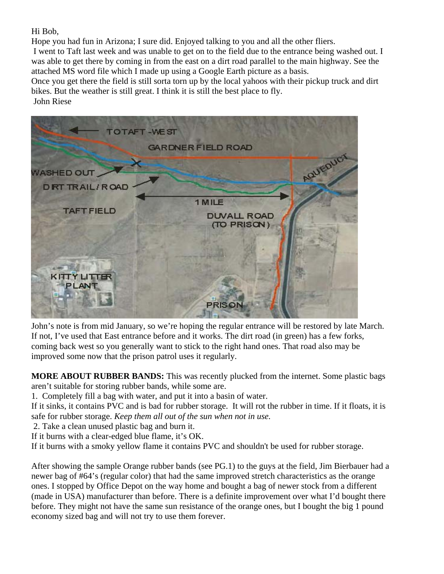Hi Bob,

Hope you had fun in Arizona; I sure did. Enjoyed talking to you and all the other fliers.

 I went to Taft last week and was unable to get on to the field due to the entrance being washed out. I was able to get there by coming in from the east on a dirt road parallel to the main highway. See the attached MS word file which I made up using a Google Earth picture as a basis.

Once you get there the field is still sorta torn up by the local yahoos with their pickup truck and dirt bikes. But the weather is still great. I think it is still the best place to fly.

John Riese



John's note is from mid January, so we're hoping the regular entrance will be restored by late March. If not, I've used that East entrance before and it works. The dirt road (in green) has a few forks, coming back west so you generally want to stick to the right hand ones. That road also may be improved some now that the prison patrol uses it regularly.

**MORE ABOUT RUBBER BANDS:** This was recently plucked from the internet. Some plastic bags aren't suitable for storing rubber bands, while some are.

1. Completely fill a bag with water, and put it into a basin of water.

If it sinks, it contains PVC and is bad for rubber storage. It will rot the rubber in time. If it floats, it is safe for rubber storage. *Keep them all out of the sun when not in use.*

2. Take a clean unused plastic bag and burn it.

If it burns with a clear-edged blue flame, it's OK.

If it burns with a smoky yellow flame it contains PVC and shouldn't be used for rubber storage.

After showing the sample Orange rubber bands (see PG.1) to the guys at the field, Jim Bierbauer had a newer bag of #64's (regular color) that had the same improved stretch characteristics as the orange ones. I stopped by Office Depot on the way home and bought a bag of newer stock from a different (made in USA) manufacturer than before. There is a definite improvement over what I'd bought there before. They might not have the same sun resistance of the orange ones, but I bought the big 1 pound economy sized bag and will not try to use them forever.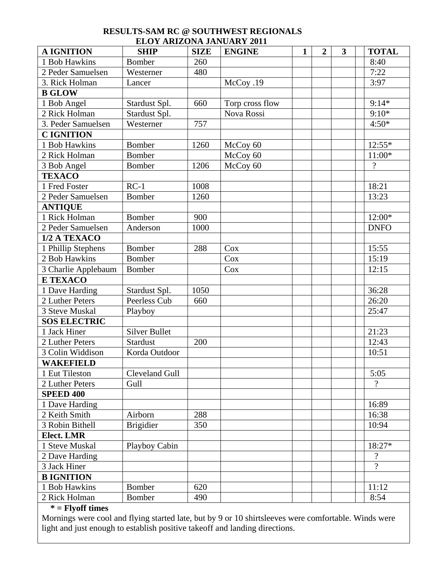## **RESULTS-SAM RC @ SOUTHWEST REGIONALS ELOY ARIZONA JANUARY 2011**

| <b>A IGNITION</b>   | <b>SHIP</b>          | <b>SIZE</b> | <b>ENGINE</b>   | $\mathbf{1}$ | $\overline{2}$ | $\overline{\mathbf{3}}$ | <b>TOTAL</b>   |
|---------------------|----------------------|-------------|-----------------|--------------|----------------|-------------------------|----------------|
| 1 Bob Hawkins       | <b>Bomber</b>        | 260         |                 |              |                |                         | 8:40           |
| 2 Peder Samuelsen   | Westerner            | 480         |                 |              |                |                         | 7:22           |
| 3. Rick Holman      | Lancer               |             | McCoy .19       |              |                |                         | 3:97           |
| <b>B GLOW</b>       |                      |             |                 |              |                |                         |                |
| 1 Bob Angel         | Stardust Spl.        | 660         | Torp cross flow |              |                |                         | $9:14*$        |
| 2 Rick Holman       | Stardust Spl.        |             | Nova Rossi      |              |                |                         | $9:10*$        |
| 3. Peder Samuelsen  | Westerner            | 757         |                 |              |                |                         | $4:50*$        |
| <b>CIGNITION</b>    |                      |             |                 |              |                |                         |                |
| 1 Bob Hawkins       | Bomber               | 1260        | McCoy 60        |              |                |                         | $12:55*$       |
| 2 Rick Holman       | Bomber               |             | McCoy 60        |              |                |                         | $11:00*$       |
| 3 Bob Angel         | <b>Bomber</b>        | 1206        | McCoy 60        |              |                |                         | $\gamma$       |
| <b>TEXACO</b>       |                      |             |                 |              |                |                         |                |
| 1 Fred Foster       | $RC-1$               | 1008        |                 |              |                |                         | 18:21          |
| 2 Peder Samuelsen   | <b>Bomber</b>        | 1260        |                 |              |                |                         | 13:23          |
| <b>ANTIQUE</b>      |                      |             |                 |              |                |                         |                |
| 1 Rick Holman       | <b>Bomber</b>        | 900         |                 |              |                |                         | 12:00*         |
| 2 Peder Samuelsen   | Anderson             | 1000        |                 |              |                |                         | <b>DNFO</b>    |
| 1/2 A TEXACO        |                      |             |                 |              |                |                         |                |
| 1 Phillip Stephens  | Bomber               | 288         | Cox             |              |                |                         | 15:55          |
| 2 Bob Hawkins       | Bomber               |             | Cox             |              |                |                         | 15:19          |
| 3 Charlie Applebaum | Bomber               |             | Cox             |              |                |                         | 12:15          |
| <b>E TEXACO</b>     |                      |             |                 |              |                |                         |                |
| 1 Dave Harding      | Stardust Spl.        | 1050        |                 |              |                |                         | 36:28          |
| 2 Luther Peters     | Peerless Cub         | 660         |                 |              |                |                         | 26:20          |
| 3 Steve Muskal      | Playboy              |             |                 |              |                |                         | 25:47          |
| <b>SOS ELECTRIC</b> |                      |             |                 |              |                |                         |                |
| 1 Jack Hiner        | <b>Silver Bullet</b> |             |                 |              |                |                         | 21:23          |
| 2 Luther Peters     | Stardust             | 200         |                 |              |                |                         | 12:43          |
| 3 Colin Widdison    | Korda Outdoor        |             |                 |              |                |                         | 10:51          |
| <b>WAKEFIELD</b>    |                      |             |                 |              |                |                         |                |
| 1 Eut Tileston      | Cleveland Gull       |             |                 |              |                |                         | 5:05           |
| 2 Luther Peters     | Gull                 |             |                 |              |                |                         | $\gamma$       |
| <b>SPEED 400</b>    |                      |             |                 |              |                |                         |                |
| 1 Dave Harding      |                      |             |                 |              |                |                         | 16:89          |
| 2 Keith Smith       | Airborn              | 288         |                 |              |                |                         | 16:38          |
| 3 Robin Bithell     | <b>Brigidier</b>     | 350         |                 |              |                |                         | 10:94          |
| <b>Elect. LMR</b>   |                      |             |                 |              |                |                         |                |
| 1 Steve Muskal      | Playboy Cabin        |             |                 |              |                |                         | 18:27*         |
| 2 Dave Harding      |                      |             |                 |              |                |                         | $\gamma$       |
| 3 Jack Hiner        |                      |             |                 |              |                |                         | $\overline{?}$ |
| <b>B IGNITION</b>   |                      |             |                 |              |                |                         |                |
| 1 Bob Hawkins       | <b>Bomber</b>        | 620         |                 |              |                |                         | 11:12          |
| 2 Rick Holman       | Bomber               | 490         |                 |              |                |                         | 8:54           |

## **\* = Flyoff times**

Mornings were cool and flying started late, but by 9 or 10 shirtsleeves were comfortable. Winds were light and just enough to establish positive takeoff and landing directions.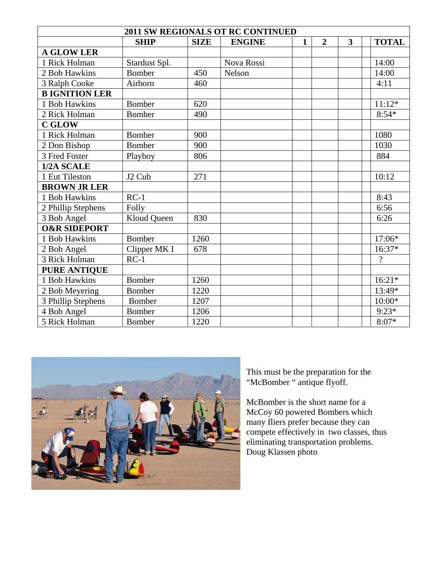| <b>2011 SW REGIONALS OT RC CONTINUED</b> |                    |             |               |              |                |                         |                |  |  |  |
|------------------------------------------|--------------------|-------------|---------------|--------------|----------------|-------------------------|----------------|--|--|--|
|                                          | <b>SHIP</b>        | <b>SIZE</b> | <b>ENGINE</b> | $\mathbf{1}$ | $\overline{2}$ | $\overline{\mathbf{3}}$ | <b>TOTAL</b>   |  |  |  |
| <b>A GLOW LER</b>                        |                    |             |               |              |                |                         |                |  |  |  |
| 1 Rick Holman                            | Stardust Spl.      |             | Nova Rossi    |              |                |                         | 14:00          |  |  |  |
| 2 Bob Hawkins                            | <b>Bomber</b>      | 450         | Nelson        |              |                |                         | 14:00          |  |  |  |
| 3 Ralph Cooke                            | Airborn            | 460         |               |              |                |                         | 4:11           |  |  |  |
| <b>B IGNITION LER</b>                    |                    |             |               |              |                |                         |                |  |  |  |
| 1 Bob Hawkins                            | <b>Bomber</b>      | 620         |               |              |                |                         | $11:12*$       |  |  |  |
| 2 Rick Holman                            | Bomber             | 490         |               |              |                |                         | $8:54*$        |  |  |  |
| <b>C GLOW</b>                            |                    |             |               |              |                |                         |                |  |  |  |
| 1 Rick Holman                            | Bomber             | 900         |               |              |                |                         | 1080           |  |  |  |
| 2 Don Bishop                             | Bomber             | 900         |               |              |                |                         | 1030           |  |  |  |
| 3 Fred Foster                            | Playboy            | 806         |               |              |                |                         | 884            |  |  |  |
| 1/2A SCALE                               |                    |             |               |              |                |                         |                |  |  |  |
| 1 Eut Tileston                           | J <sub>2</sub> Cub | 271         |               |              |                |                         | 10:12          |  |  |  |
| <b>BROWN JR LER</b>                      |                    |             |               |              |                |                         |                |  |  |  |
| 1 Bob Hawkins                            | $RC-1$             |             |               |              |                |                         | 8:43           |  |  |  |
| 2 Phillip Stephens                       | Folly              |             |               |              |                |                         | 6:56           |  |  |  |
| 3 Bob Angel                              | Kloud Queen        | 830         |               |              |                |                         | 6:26           |  |  |  |
| <b>O&amp;R SIDEPORT</b>                  |                    |             |               |              |                |                         |                |  |  |  |
| 1 Bob Hawkins                            | <b>Bomber</b>      | 1260        |               |              |                |                         | 17:06*         |  |  |  |
| 2 Bob Angel                              | Clipper MK I       | 678         |               |              |                |                         | $16:37*$       |  |  |  |
| 3 Rick Holman                            | $RC-1$             |             |               |              |                |                         | $\overline{?}$ |  |  |  |
| <b>PURE ANTIQUE</b>                      |                    |             |               |              |                |                         |                |  |  |  |
| 1 Bob Hawkins                            | Bomber             | 1260        |               |              |                |                         | $16:21*$       |  |  |  |
| 2 Bob Meyering                           | <b>Bomber</b>      | 1220        |               |              |                |                         | 13:49*         |  |  |  |
| 3 Phillip Stephens                       | <b>Bomber</b>      | 1207        |               |              |                |                         | $10:00*$       |  |  |  |
| 4 Bob Angel                              | Bomber             | 1206        |               |              |                |                         | $9:23*$        |  |  |  |
| 5 Rick Holman                            | Bomber             | 1220        |               |              |                |                         | $8:07*$        |  |  |  |



This must be the preparation for the "McBomber " antique flyoff.

McBomber is the short name for a McCoy 60 powered Bombers which many fliers prefer because they can compete effectively in two classes, thus eliminating transportation problems. Doug Klassen photo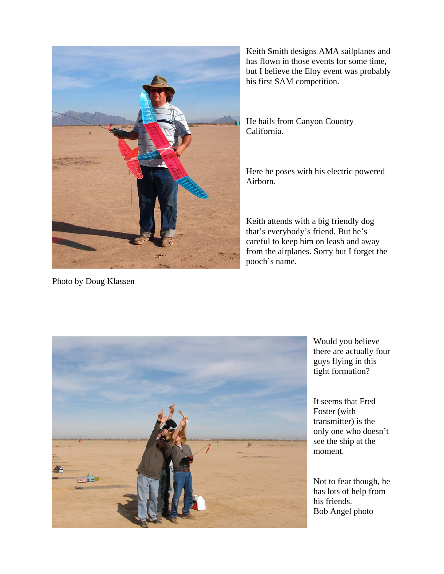

Keith Smith designs AMA sailplanes and has flown in those events for some time, but I believe the Eloy event was p robably his first SAM competition.

He hails from Canyon Country California.

Here he poses with his electric powered Airborn.

Keith attends with a big friendly dog that's everybody's friend. But he's careful to keep him on leash and away from the airplanes. Sorry but I forget the pooch's name.

Photo by Doug Klassen



Would you believe there are actually four guys flying in this tight formation?

It seems that Fred Foster (with transmitter) is the only one who doesn't see the ship at the moment.

Not to fear though, he has lots of help from his friends. Bob Angel photo